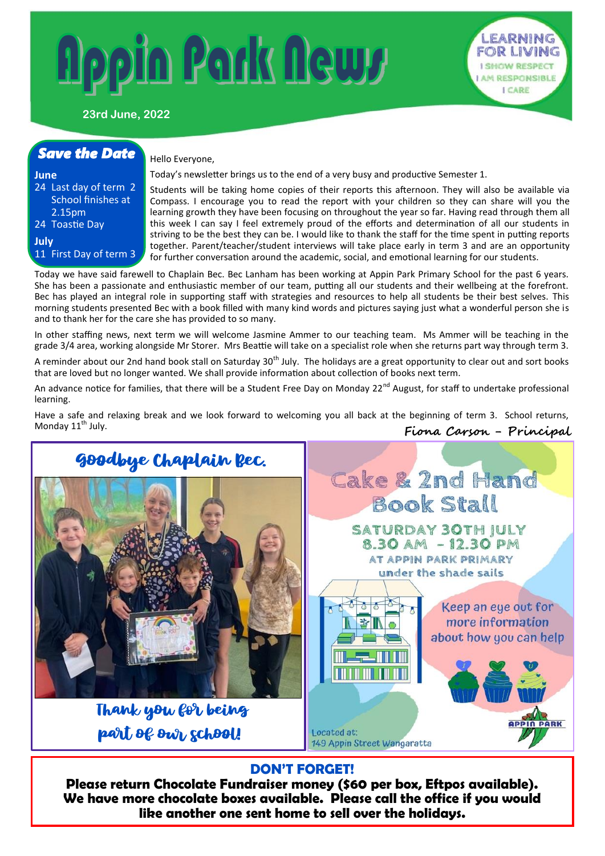# lopin Park Newy



## **23rd June, 2022**

# *Save the Date* **June** 24 Last day of term 2 School finishes at 2.15pm 24 Toastie Day **July** 11 First Day of term 3

### Hello Everyone,

Today's newsletter brings us to the end of a very busy and productive Semester 1.

Students will be taking home copies of their reports this afternoon. They will also be available via Compass. I encourage you to read the report with your children so they can share will you the learning growth they have been focusing on throughout the year so far. Having read through them all this week I can say I feel extremely proud of the efforts and determination of all our students in striving to be the best they can be. I would like to thank the staff for the time spent in putting reports together. Parent/teacher/student interviews will take place early in term 3 and are an opportunity for further conversation around the academic, social, and emotional learning for our students.

Today we have said farewell to Chaplain Bec. Bec Lanham has been working at Appin Park Primary School for the past 6 years. She has been a passionate and enthusiastic member of our team, putting all our students and their wellbeing at the forefront. Bec has played an integral role in supporting staff with strategies and resources to help all students be their best selves. This morning students presented Bec with a book filled with many kind words and pictures saying just what a wonderful person she is and to thank her for the care she has provided to so many.

In other staffing news, next term we will welcome Jasmine Ammer to our teaching team. Ms Ammer will be teaching in the grade 3/4 area, working alongside Mr Storer. Mrs Beattie will take on a specialist role when she returns part way through term 3.

A reminder about our 2nd hand book stall on Saturday 30<sup>th</sup> July. The holidays are a great opportunity to clear out and sort books that are loved but no longer wanted. We shall provide information about collection of books next term.

An advance notice for families, that there will be a Student Free Day on Monday 22<sup>nd</sup> August, for staff to undertake professional learning.

**Fiona Carson - Principal** Have a safe and relaxing break and we look forward to welcoming you all back at the beginning of term 3. School returns, Monday 11<sup>th</sup> July.



# **DON'T FORGET!**

**Please return Chocolate Fundraiser money (\$60 per box, Eftpos available). We have more chocolate boxes available. Please call the office if you would like another one sent home to sell over the holidays.**